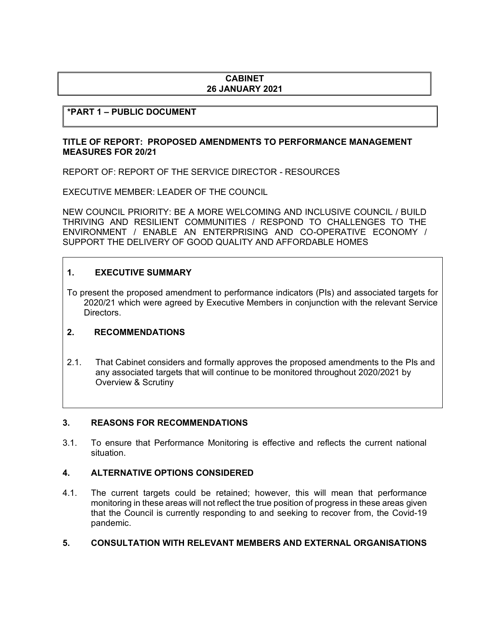# **CABINET 26 JANUARY 2021**

# **\*PART 1 – PUBLIC DOCUMENT**

## **TITLE OF REPORT: PROPOSED AMENDMENTS TO PERFORMANCE MANAGEMENT MEASURES FOR 20/21**

REPORT OF: REPORT OF THE SERVICE DIRECTOR - RESOURCES

EXECUTIVE MEMBER: LEADER OF THE COUNCIL

NEW COUNCIL PRIORITY: BE A MORE WELCOMING AND INCLUSIVE COUNCIL / BUILD THRIVING AND RESILIENT COMMUNITIES / RESPOND TO CHALLENGES TO THE ENVIRONMENT / ENABLE AN ENTERPRISING AND CO-OPERATIVE ECONOMY / SUPPORT THE DELIVERY OF GOOD QUALITY AND AFFORDABLE HOMES

## **1. EXECUTIVE SUMMARY**

To present the proposed amendment to performance indicators (PIs) and associated targets for 2020/21 which were agreed by Executive Members in conjunction with the relevant Service Directors.

### **2. RECOMMENDATIONS**

2.1. That Cabinet considers and formally approves the proposed amendments to the PIs and any associated targets that will continue to be monitored throughout 2020/2021 by Overview & Scrutiny

## **3. REASONS FOR RECOMMENDATIONS**

3.1. To ensure that Performance Monitoring is effective and reflects the current national situation.

### **4. ALTERNATIVE OPTIONS CONSIDERED**

4.1. The current targets could be retained; however, this will mean that performance monitoring in these areas will not reflect the true position of progress in these areas given that the Council is currently responding to and seeking to recover from, the Covid-19 pandemic.

### **5. CONSULTATION WITH RELEVANT MEMBERS AND EXTERNAL ORGANISATIONS**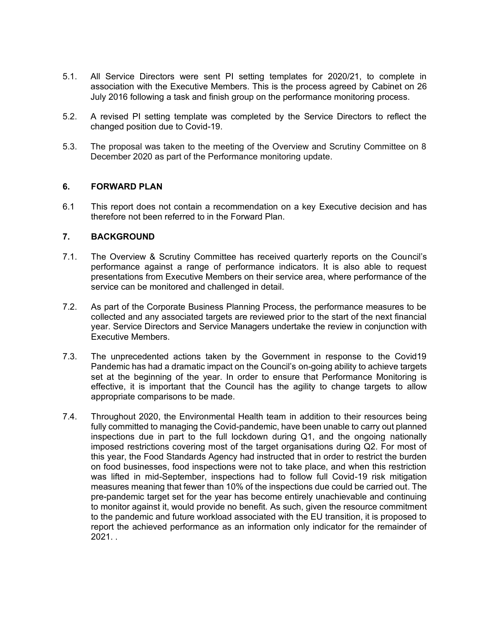- 5.1. All Service Directors were sent PI setting templates for 2020/21, to complete in association with the Executive Members. This is the process agreed by Cabinet on 26 July 2016 following a task and finish group on the performance monitoring process.
- 5.2. A revised PI setting template was completed by the Service Directors to reflect the changed position due to Covid-19.
- 5.3. The proposal was taken to the meeting of the Overview and Scrutiny Committee on 8 December 2020 as part of the Performance monitoring update.

## **6. FORWARD PLAN**

6.1 This report does not contain a recommendation on a key Executive decision and has therefore not been referred to in the Forward Plan.

## **7. BACKGROUND**

- 7.1. The Overview & Scrutiny Committee has received quarterly reports on the Council's performance against a range of performance indicators. It is also able to request presentations from Executive Members on their service area, where performance of the service can be monitored and challenged in detail.
- 7.2. As part of the Corporate Business Planning Process, the performance measures to be collected and any associated targets are reviewed prior to the start of the next financial year. Service Directors and Service Managers undertake the review in conjunction with Executive Members.
- 7.3. The unprecedented actions taken by the Government in response to the Covid19 Pandemic has had a dramatic impact on the Council's on-going ability to achieve targets set at the beginning of the year. In order to ensure that Performance Monitoring is effective, it is important that the Council has the agility to change targets to allow appropriate comparisons to be made.
- 7.4. Throughout 2020, the Environmental Health team in addition to their resources being fully committed to managing the Covid-pandemic, have been unable to carry out planned inspections due in part to the full lockdown during Q1, and the ongoing nationally imposed restrictions covering most of the target organisations during Q2. For most of this year, the Food Standards Agency had instructed that in order to restrict the burden on food businesses, food inspections were not to take place, and when this restriction was lifted in mid-September, inspections had to follow full Covid-19 risk mitigation measures meaning that fewer than 10% of the inspections due could be carried out. The pre-pandemic target set for the year has become entirely unachievable and continuing to monitor against it, would provide no benefit. As such, given the resource commitment to the pandemic and future workload associated with the EU transition, it is proposed to report the achieved performance as an information only indicator for the remainder of 2021. .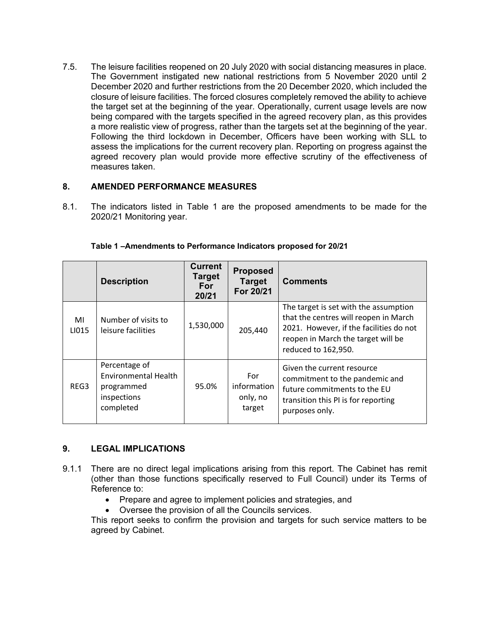7.5. The leisure facilities reopened on 20 July 2020 with social distancing measures in place. The Government instigated new national restrictions from 5 November 2020 until 2 December 2020 and further restrictions from the 20 December 2020, which included the closure of leisure facilities. The forced closures completely removed the ability to achieve the target set at the beginning of the year. Operationally, current usage levels are now being compared with the targets specified in the agreed recovery plan, as this provides a more realistic view of progress, rather than the targets set at the beginning of the year. Following the third lockdown in December, Officers have been working with SLL to assess the implications for the current recovery plan. Reporting on progress against the agreed recovery plan would provide more effective scrutiny of the effectiveness of measures taken.

# **8. AMENDED PERFORMANCE MEASURES**

8.1. The indicators listed in Table 1 are the proposed amendments to be made for the 2020/21 Monitoring year.

|             | <b>Description</b>                                                                     | <b>Current</b><br><b>Target</b><br><b>For</b><br>20/21 | <b>Proposed</b><br><b>Target</b><br>For 20/21 | <b>Comments</b>                                                                                                                                                                        |
|-------------|----------------------------------------------------------------------------------------|--------------------------------------------------------|-----------------------------------------------|----------------------------------------------------------------------------------------------------------------------------------------------------------------------------------------|
| MI<br>LI015 | Number of visits to<br>leisure facilities                                              | 1,530,000                                              | 205,440                                       | The target is set with the assumption<br>that the centres will reopen in March<br>2021. However, if the facilities do not<br>reopen in March the target will be<br>reduced to 162,950. |
| REG3        | Percentage of<br><b>Environmental Health</b><br>programmed<br>inspections<br>completed | 95.0%                                                  | For<br>information<br>only, no<br>target      | Given the current resource<br>commitment to the pandemic and<br>future commitments to the EU<br>transition this PI is for reporting<br>purposes only.                                  |

### **Table 1 –Amendments to Performance Indicators proposed for 20/21**

# **9. LEGAL IMPLICATIONS**

- 9.1.1 There are no direct legal implications arising from this report. The Cabinet has remit (other than those functions specifically reserved to Full Council) under its Terms of Reference to:
	- Prepare and agree to implement policies and strategies, and
	- Oversee the provision of all the Councils services.

This report seeks to confirm the provision and targets for such service matters to be agreed by Cabinet.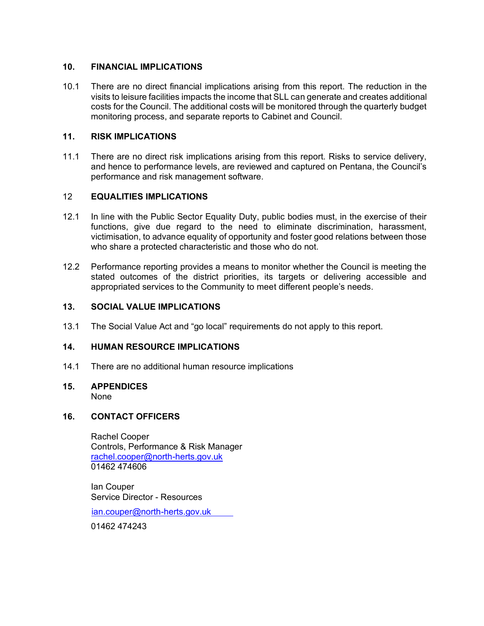# **10. FINANCIAL IMPLICATIONS**

10.1 There are no direct financial implications arising from this report. The reduction in the visits to leisure facilities impacts the income that SLL can generate and creates additional costs for the Council. The additional costs will be monitored through the quarterly budget monitoring process, and separate reports to Cabinet and Council.

## **11. RISK IMPLICATIONS**

11.1 There are no direct risk implications arising from this report. Risks to service delivery, and hence to performance levels, are reviewed and captured on Pentana, the Council's performance and risk management software.

## 12 **EQUALITIES IMPLICATIONS**

- 12.1 In line with the Public Sector Equality Duty, public bodies must, in the exercise of their functions, give due regard to the need to eliminate discrimination, harassment, victimisation, to advance equality of opportunity and foster good relations between those who share a protected characteristic and those who do not.
- 12.2 Performance reporting provides a means to monitor whether the Council is meeting the stated outcomes of the district priorities, its targets or delivering accessible and appropriated services to the Community to meet different people's needs.

## **13. SOCIAL VALUE IMPLICATIONS**

13.1 The Social Value Act and "go local" requirements do not apply to this report.

### **14. HUMAN RESOURCE IMPLICATIONS**

14.1 There are no additional human resource implications

#### **15. APPENDICES** None

### **16. CONTACT OFFICERS**

Rachel Cooper Controls, Performance & Risk Manager [rachel.cooper@north-herts.gov.uk](mailto:rachel.cooper@north-herts.gov.uk) 01462 474606

Ian Couper Service Director - Resources

[ian.couper@north-herts.gov.uk](mailto:norma.atlay@north-herts.gov.uk)

01462 474243